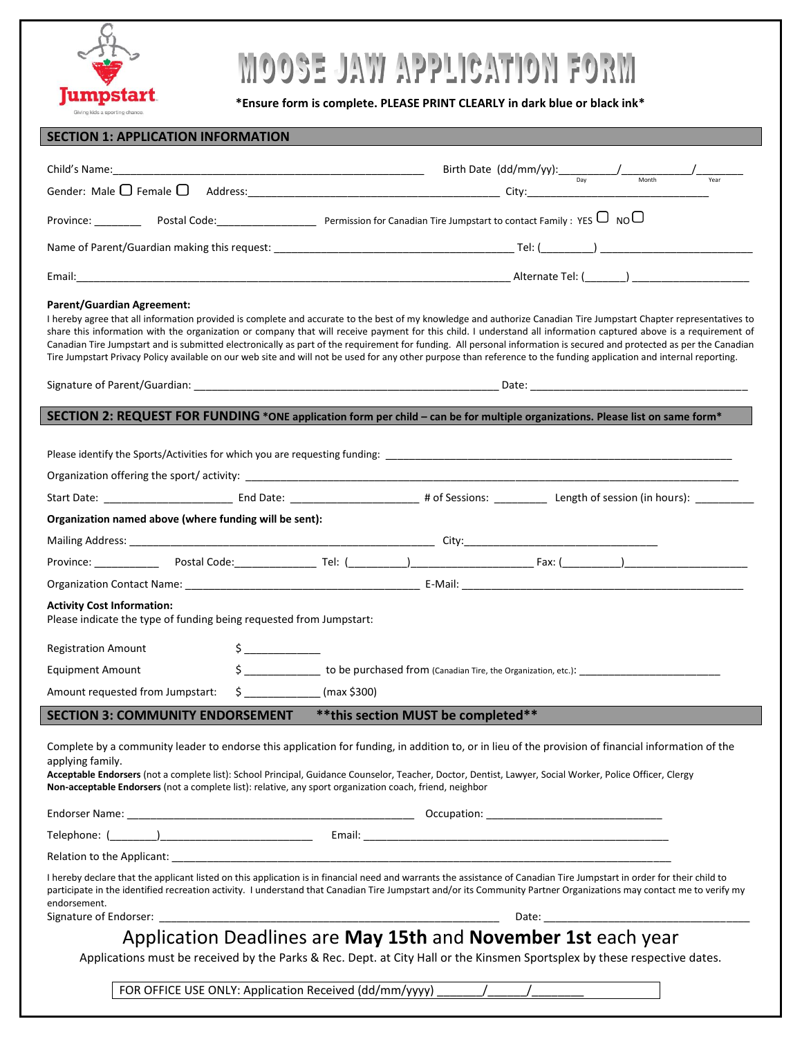

# MOOSE JAW APPLICATION FORM

**\*Ensure form is complete. PLEASE PRINT CLEARLY in dark blue or black ink\***

| <b>SECTION 1: APPLICATION INFORMATION</b>                                                                                                                                                                                                                                                                                                                                                                                                                                                                                                                                                                                                                                                                                     |                                                                                                                                                                                                                                                                                                                                               |
|-------------------------------------------------------------------------------------------------------------------------------------------------------------------------------------------------------------------------------------------------------------------------------------------------------------------------------------------------------------------------------------------------------------------------------------------------------------------------------------------------------------------------------------------------------------------------------------------------------------------------------------------------------------------------------------------------------------------------------|-----------------------------------------------------------------------------------------------------------------------------------------------------------------------------------------------------------------------------------------------------------------------------------------------------------------------------------------------|
|                                                                                                                                                                                                                                                                                                                                                                                                                                                                                                                                                                                                                                                                                                                               | Birth Date $(dd/mm/yy)$ : $\frac{1}{\text{Day}}$ $\frac{1}{\text{Month}}$ $\frac{1}{\text{Year}}$                                                                                                                                                                                                                                             |
|                                                                                                                                                                                                                                                                                                                                                                                                                                                                                                                                                                                                                                                                                                                               |                                                                                                                                                                                                                                                                                                                                               |
|                                                                                                                                                                                                                                                                                                                                                                                                                                                                                                                                                                                                                                                                                                                               |                                                                                                                                                                                                                                                                                                                                               |
|                                                                                                                                                                                                                                                                                                                                                                                                                                                                                                                                                                                                                                                                                                                               |                                                                                                                                                                                                                                                                                                                                               |
|                                                                                                                                                                                                                                                                                                                                                                                                                                                                                                                                                                                                                                                                                                                               |                                                                                                                                                                                                                                                                                                                                               |
| <b>Parent/Guardian Agreement:</b><br>I hereby agree that all information provided is complete and accurate to the best of my knowledge and authorize Canadian Tire Jumpstart Chapter representatives to<br>share this information with the organization or company that will receive payment for this child. I understand all information captured above is a requirement of<br>Canadian Tire Jumpstart and is submitted electronically as part of the requirement for funding. All personal information is secured and protected as per the Canadian<br>Tire Jumpstart Privacy Policy available on our web site and will not be used for any other purpose than reference to the funding application and internal reporting. |                                                                                                                                                                                                                                                                                                                                               |
|                                                                                                                                                                                                                                                                                                                                                                                                                                                                                                                                                                                                                                                                                                                               |                                                                                                                                                                                                                                                                                                                                               |
| SECTION 2: REQUEST FOR FUNDING *ONE application form per child – can be for multiple organizations. Please list on same form*                                                                                                                                                                                                                                                                                                                                                                                                                                                                                                                                                                                                 |                                                                                                                                                                                                                                                                                                                                               |
|                                                                                                                                                                                                                                                                                                                                                                                                                                                                                                                                                                                                                                                                                                                               |                                                                                                                                                                                                                                                                                                                                               |
| Organization named above (where funding will be sent):                                                                                                                                                                                                                                                                                                                                                                                                                                                                                                                                                                                                                                                                        |                                                                                                                                                                                                                                                                                                                                               |
|                                                                                                                                                                                                                                                                                                                                                                                                                                                                                                                                                                                                                                                                                                                               |                                                                                                                                                                                                                                                                                                                                               |
|                                                                                                                                                                                                                                                                                                                                                                                                                                                                                                                                                                                                                                                                                                                               |                                                                                                                                                                                                                                                                                                                                               |
|                                                                                                                                                                                                                                                                                                                                                                                                                                                                                                                                                                                                                                                                                                                               |                                                                                                                                                                                                                                                                                                                                               |
| <b>Activity Cost Information:</b><br>Please indicate the type of funding being requested from Jumpstart:                                                                                                                                                                                                                                                                                                                                                                                                                                                                                                                                                                                                                      |                                                                                                                                                                                                                                                                                                                                               |
| $\sharp$<br><b>Registration Amount</b>                                                                                                                                                                                                                                                                                                                                                                                                                                                                                                                                                                                                                                                                                        |                                                                                                                                                                                                                                                                                                                                               |
| <b>Equipment Amount</b>                                                                                                                                                                                                                                                                                                                                                                                                                                                                                                                                                                                                                                                                                                       |                                                                                                                                                                                                                                                                                                                                               |
| Amount requested from Jumpstart:                                                                                                                                                                                                                                                                                                                                                                                                                                                                                                                                                                                                                                                                                              | $$$ (max \$300)                                                                                                                                                                                                                                                                                                                               |
| <b>SECTION 3: COMMUNITY ENDORSEMENT</b>                                                                                                                                                                                                                                                                                                                                                                                                                                                                                                                                                                                                                                                                                       | ** this section MUST be completed**                                                                                                                                                                                                                                                                                                           |
| Complete by a community leader to endorse this application for funding, in addition to, or in lieu of the provision of financial information of the<br>applying family.<br>Acceptable Endorsers (not a complete list): School Principal, Guidance Counselor, Teacher, Doctor, Dentist, Lawyer, Social Worker, Police Officer, Clergy<br>Non-acceptable Endorsers (not a complete list): relative, any sport organization coach, friend, neighbor                                                                                                                                                                                                                                                                              |                                                                                                                                                                                                                                                                                                                                               |
|                                                                                                                                                                                                                                                                                                                                                                                                                                                                                                                                                                                                                                                                                                                               |                                                                                                                                                                                                                                                                                                                                               |
|                                                                                                                                                                                                                                                                                                                                                                                                                                                                                                                                                                                                                                                                                                                               |                                                                                                                                                                                                                                                                                                                                               |
| endorsement.                                                                                                                                                                                                                                                                                                                                                                                                                                                                                                                                                                                                                                                                                                                  | I hereby declare that the applicant listed on this application is in financial need and warrants the assistance of Canadian Tire Jumpstart in order for their child to<br>participate in the identified recreation activity. I understand that Canadian Tire Jumpstart and/or its Community Partner Organizations may contact me to verify my |
|                                                                                                                                                                                                                                                                                                                                                                                                                                                                                                                                                                                                                                                                                                                               |                                                                                                                                                                                                                                                                                                                                               |
| Application Deadlines are May 15th and November 1st each year<br>Applications must be received by the Parks & Rec. Dept. at City Hall or the Kinsmen Sportsplex by these respective dates.                                                                                                                                                                                                                                                                                                                                                                                                                                                                                                                                    |                                                                                                                                                                                                                                                                                                                                               |
| FOR OFFICE USE ONLY: Application Received (dd/mm/yyyy) _______/______/__________                                                                                                                                                                                                                                                                                                                                                                                                                                                                                                                                                                                                                                              |                                                                                                                                                                                                                                                                                                                                               |